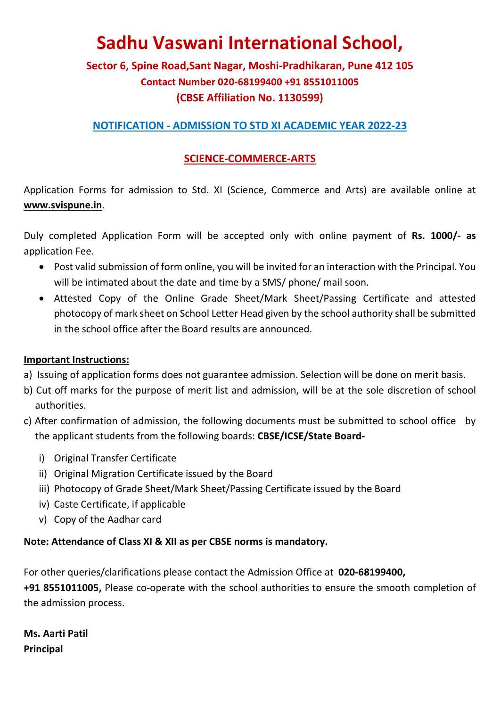# Sadhu Vaswani International School,

# Sector 6, Spine Road,Sant Nagar, Moshi-Pradhikaran, Pune 412 105 Contact Number 020-68199400 +91 8551011005 (CBSE Affiliation No. 1130599)

### NOTIFICATION - ADMISSION TO STD XI ACADEMIC YEAR 2022-23

### SCIENCE-COMMERCE-ARTS

Application Forms for admission to Std. XI (Science, Commerce and Arts) are available online at www.svispune.in.

Duly completed Application Form will be accepted only with online payment of Rs. 1000/- as application Fee.

- Post valid submission of form online, you will be invited for an interaction with the Principal. You will be intimated about the date and time by a SMS/ phone/ mail soon.
- Attested Copy of the Online Grade Sheet/Mark Sheet/Passing Certificate and attested photocopy of mark sheet on School Letter Head given by the school authority shall be submitted in the school office after the Board results are announced.

### Important Instructions:

- a) Issuing of application forms does not guarantee admission. Selection will be done on merit basis.
- b) Cut off marks for the purpose of merit list and admission, will be at the sole discretion of school authorities.
- c) After confirmation of admission, the following documents must be submitted to school office by the applicant students from the following boards: CBSE/ICSE/State Board
	- i) Original Transfer Certificate
	- ii) Original Migration Certificate issued by the Board
	- iii) Photocopy of Grade Sheet/Mark Sheet/Passing Certificate issued by the Board
	- iv) Caste Certificate, if applicable
	- v) Copy of the Aadhar card

### Note: Attendance of Class XI & XII as per CBSE norms is mandatory.

For other queries/clarifications please contact the Admission Office at 020-68199400,

+91 8551011005, Please co-operate with the school authorities to ensure the smooth completion of the admission process.

Ms. Aarti Patil Principal